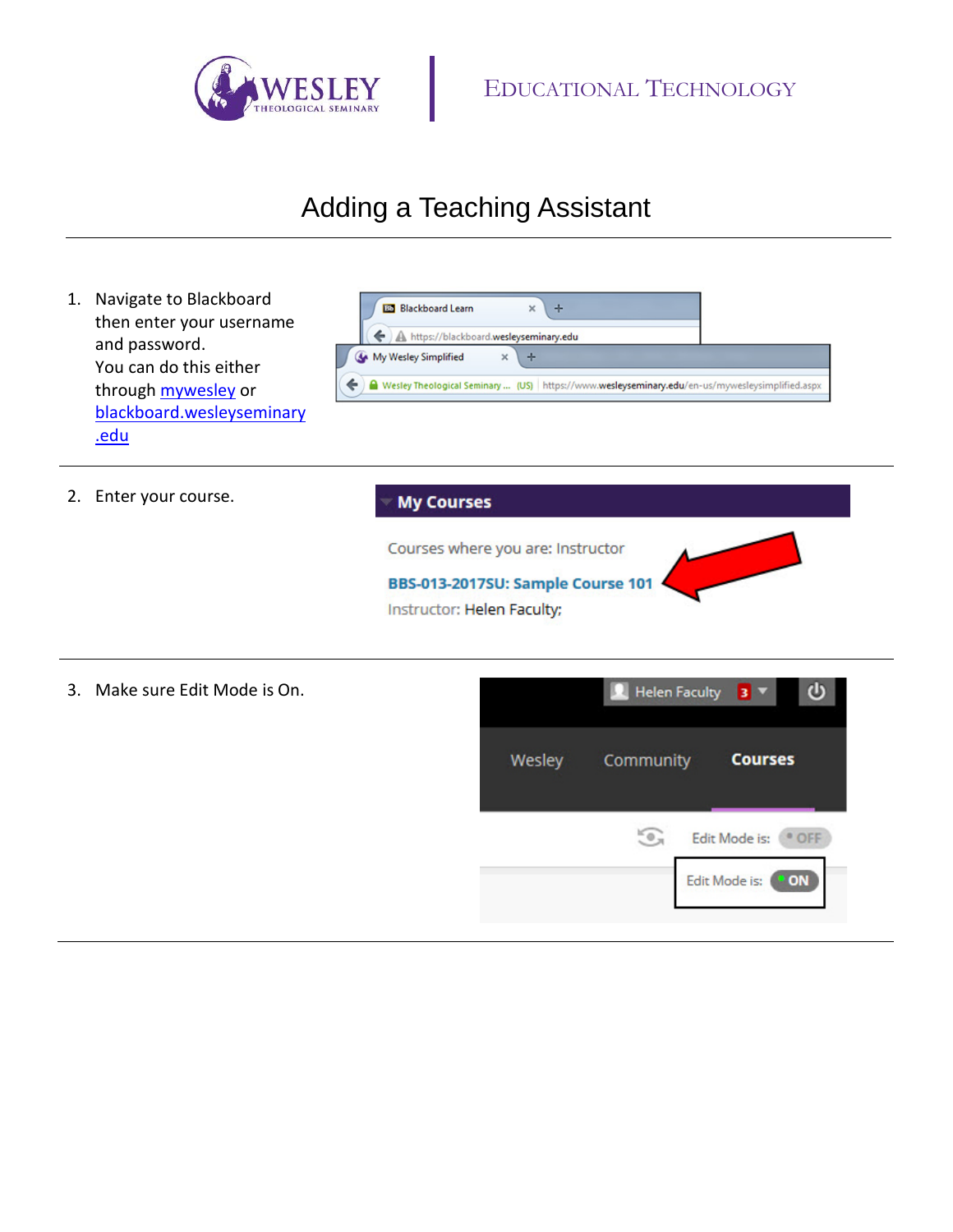

## Adding a Teaching Assistant

1. Navigate to Blackboard **BB** Blackboard Learn  $\div$ × then enter your username ← A https://blackboard.wesleyseminary.edu and password. My Wesley Simplified  $\times$  $\div$ You can do this either ← A Wesley Theological Seminary ... (US) https://www.wesleyseminary.edu/en-us/mywesleysimplified.aspx through [mywesley](https://www.wesleyseminary.edu/my-wesley/) or [blackboard.wesleyseminary](https://blackboard.wesleyseminary.edu/) [.edu](https://blackboard.wesleyseminary.edu/) 2. Enter your course. **My Courses** Courses where you are: Instructor BBS-013-2017SU: Sample Course 101 Instructor: Helen Faculty; 3. Make sure Edit Mode is On.**R** Helen Faculty ഄ в

Wesley

Community

 $\odot$ 

**Courses** 

Edit Mode is: <sup>@</sup> OFF

Edit Mode is: ON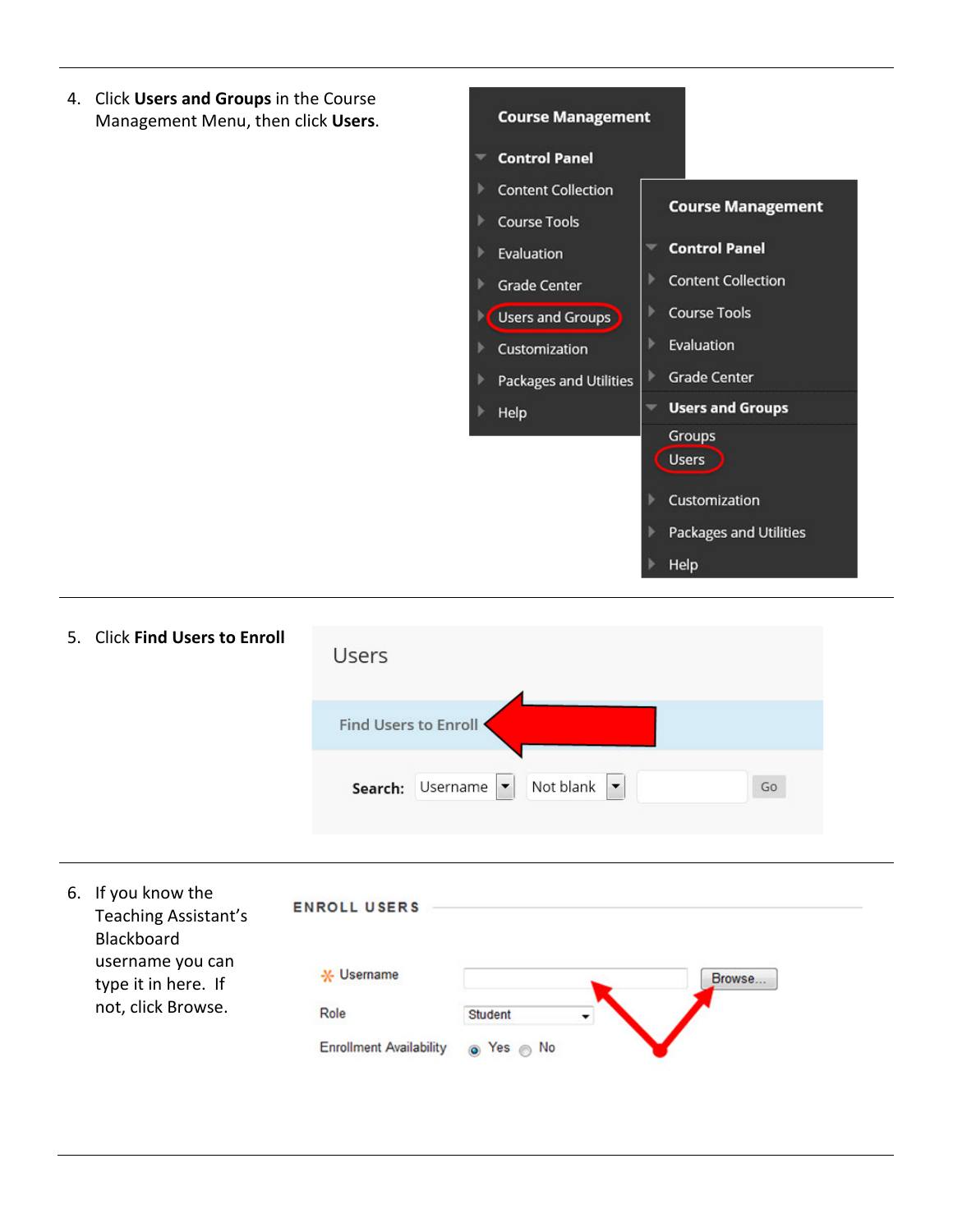4. Click **Users and Groups** in the Course Management Menu, then click **Users**.



5. Click **Find Users to Enroll Users** Find Users to Enroll . Not blank  $\vert \cdot \vert$ Search: Username  $Go$ 

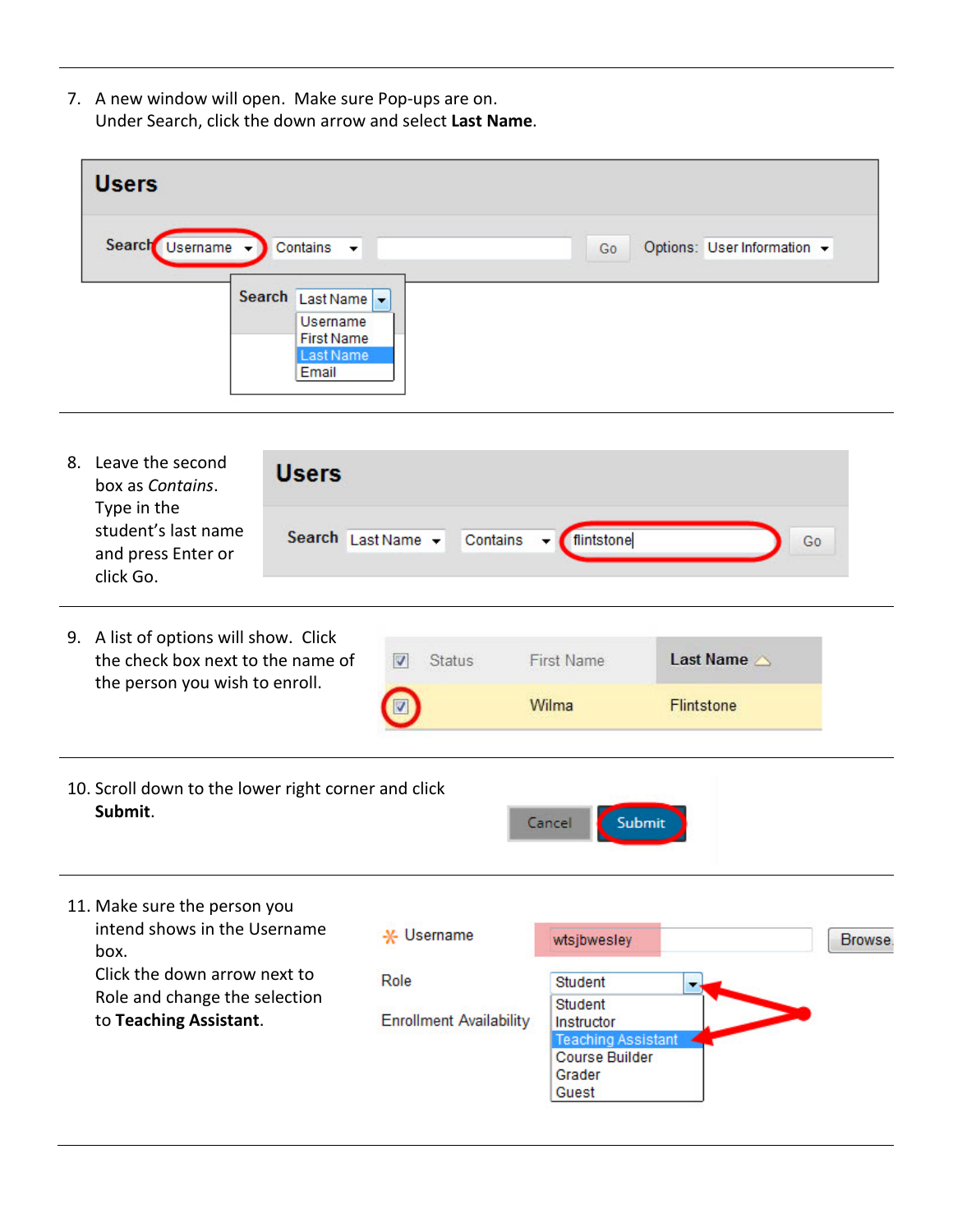7. A new window will open. Make sure Pop-ups are on. Under Search, click the down arrow and select **Last Name**.

| <b>Users</b>                                                             |    |                             |
|--------------------------------------------------------------------------|----|-----------------------------|
| Search Usemame -<br>$\bigcirc$ Contains $\bigcirc$<br>Search Last Name v | Go | Options: User Information + |
| <b>Username</b><br><b>First Name</b><br>Last Name<br>Email               |    |                             |

8. Leave the second **Users** box as *Contains*. Type in the student's last name Search Last Name v Contains - flintstone  $Go$ and press Enter or click Go.

|                        | 9. A list of options will show. Click<br>the check box next to the name of<br>the person you wish to enroll. | <b>Status</b><br>V                                                                  | <b>First Name</b><br>Wilma | Last Name<br>Flintstone |         |
|------------------------|--------------------------------------------------------------------------------------------------------------|-------------------------------------------------------------------------------------|----------------------------|-------------------------|---------|
|                        |                                                                                                              |                                                                                     |                            |                         |         |
| Submit.                | 10. Scroll down to the lower right corner and click                                                          |                                                                                     | Cancel<br>Submit           |                         |         |
| box.                   | 11. Make sure the person you<br>intend shows in the Username                                                 | * Username                                                                          | wtsjbwesley                |                         | Browse. |
|                        | Click the down arrow next to<br>Role and change the selection                                                | Role                                                                                | Student<br><b>Student</b>  |                         |         |
| to Teaching Assistant. | <b>Enrollment Availability</b>                                                                               | Instructor<br><b>Teaching Assistant</b><br><b>Course Builder</b><br>Grader<br>Guest |                            |                         |         |